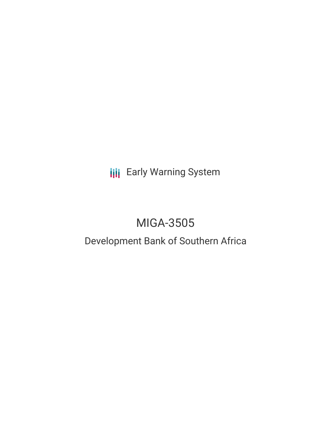**III** Early Warning System

# MIGA-3505

## Development Bank of Southern Africa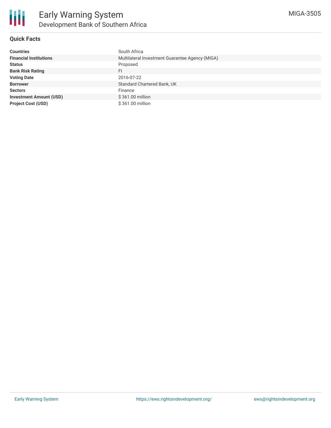#### **Quick Facts**

| <b>Countries</b>               | South Africa                                    |
|--------------------------------|-------------------------------------------------|
| <b>Financial Institutions</b>  | Multilateral Investment Guarantee Agency (MIGA) |
| <b>Status</b>                  | Proposed                                        |
| <b>Bank Risk Rating</b>        | FI                                              |
| <b>Voting Date</b>             | 2016-07-22                                      |
| <b>Borrower</b>                | Standard Chartered Bank, UK                     |
| <b>Sectors</b>                 | Finance                                         |
| <b>Investment Amount (USD)</b> | \$361.00 million                                |
| <b>Project Cost (USD)</b>      | \$361.00 million                                |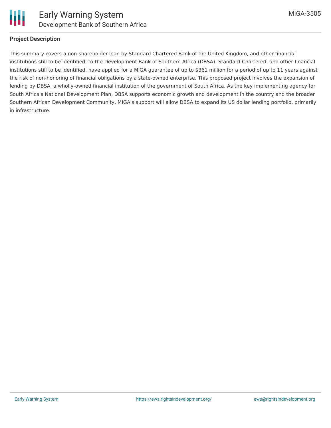

### **Project Description**

This summary covers a non-shareholder loan by Standard Chartered Bank of the United Kingdom, and other financial institutions still to be identified, to the Development Bank of Southern Africa (DBSA). Standard Chartered, and other financial institutions still to be identified, have applied for a MIGA guarantee of up to \$361 million for a period of up to 11 years against the risk of non-honoring of financial obligations by a state-owned enterprise. This proposed project involves the expansion of lending by DBSA, a wholly-owned financial institution of the government of South Africa. As the key implementing agency for South Africa's National Development Plan, DBSA supports economic growth and development in the country and the broader Southern African Development Community. MIGA's support will allow DBSA to expand its US dollar lending portfolio, primarily in infrastructure.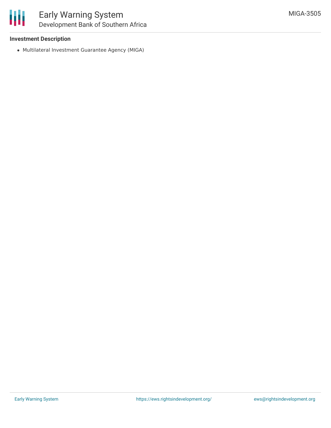### **Investment Description**

Multilateral Investment Guarantee Agency (MIGA)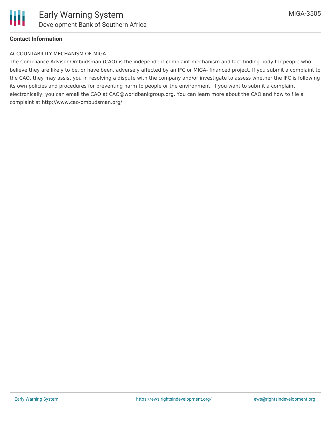

### **Contact Information**

#### ACCOUNTABILITY MECHANISM OF MIGA

The Compliance Advisor Ombudsman (CAO) is the independent complaint mechanism and fact-finding body for people who believe they are likely to be, or have been, adversely affected by an IFC or MIGA- financed project. If you submit a complaint to the CAO, they may assist you in resolving a dispute with the company and/or investigate to assess whether the IFC is following its own policies and procedures for preventing harm to people or the environment. If you want to submit a complaint electronically, you can email the CAO at CAO@worldbankgroup.org. You can learn more about the CAO and how to file a complaint at http://www.cao-ombudsman.org/